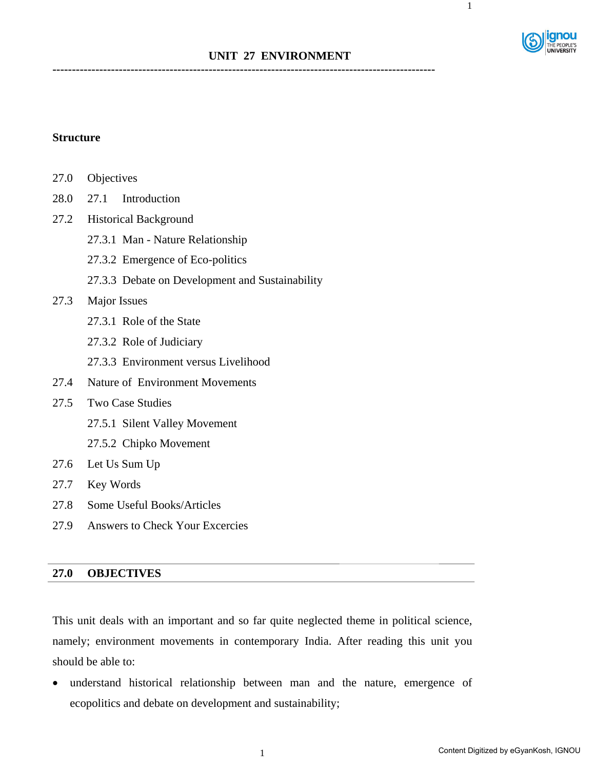

# **UNIT 27 ENVIRONMENT**

**--------------------------------------------------------------------------------------------------** 

## **Structure**

- 27.0 Objectives
- 28.0 27.1 Introduction
- 27.2 Historical Background
	- 27.3.1 Man Nature Relationship
	- 27.3.2 Emergence of Eco-politics
	- 27.3.3 Debate on Development and Sustainability

#### 27.3 Major Issues

- 27.3.1 Role of the State
- 27.3.2 Role of Judiciary
- 27.3.3 Environment versus Livelihood
- 27.4 Nature of Environment Movements
- 27.5 Two Case Studies
	- 27.5.1 Silent Valley Movement
	- 27.5.2 Chipko Movement
- 27.6 Let Us Sum Up
- 27.7 Key Words
- 27.8 Some Useful Books/Articles
- 27.9 Answers to Check Your Excercies

## **27.0 OBJECTIVES**

Ī

This unit deals with an important and so far quite neglected theme in political science, namely; environment movements in contemporary India. After reading this unit you should be able to:

• understand historical relationship between man and the nature, emergence of ecopolitics and debate on development and sustainability;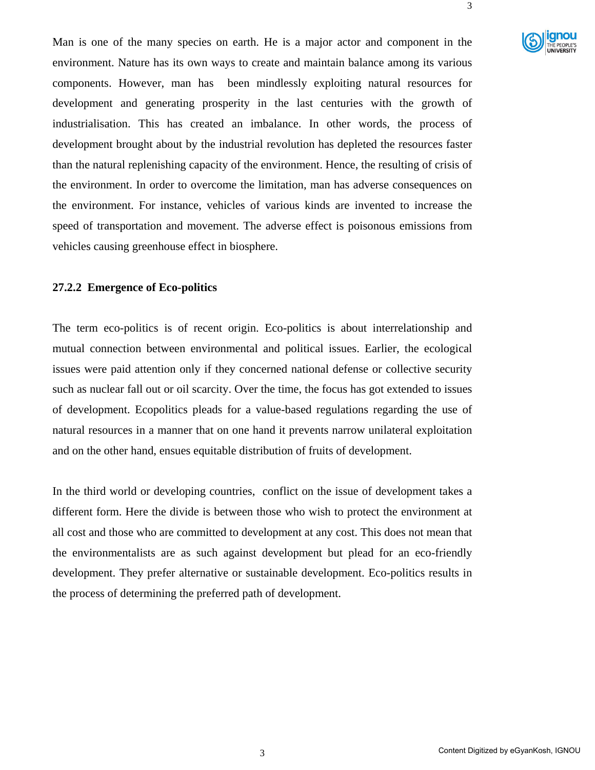

Man is one of the many species on earth. He is a major actor and component in the environment. Nature has its own ways to create and maintain balance among its various components. However, man has been mindlessly exploiting natural resources for development and generating prosperity in the last centuries with the growth of industrialisation. This has created an imbalance. In other words, the process of development brought about by the industrial revolution has depleted the resources faster than the natural replenishing capacity of the environment. Hence, the resulting of crisis of the environment. In order to overcome the limitation, man has adverse consequences on the environment. For instance, vehicles of various kinds are invented to increase the speed of transportation and movement. The adverse effect is poisonous emissions from vehicles causing greenhouse effect in biosphere.

#### **27.2.2 Emergence of Eco-politics**

The term eco-politics is of recent origin. Eco-politics is about interrelationship and mutual connection between environmental and political issues. Earlier, the ecological issues were paid attention only if they concerned national defense or collective security such as nuclear fall out or oil scarcity. Over the time, the focus has got extended to issues of development. Ecopolitics pleads for a value-based regulations regarding the use of natural resources in a manner that on one hand it prevents narrow unilateral exploitation and on the other hand, ensues equitable distribution of fruits of development.

In the third world or developing countries, conflict on the issue of development takes a different form. Here the divide is between those who wish to protect the environment at all cost and those who are committed to development at any cost. This does not mean that the environmentalists are as such against development but plead for an eco-friendly development. They prefer alternative or sustainable development. Eco-politics results in the process of determining the preferred path of development.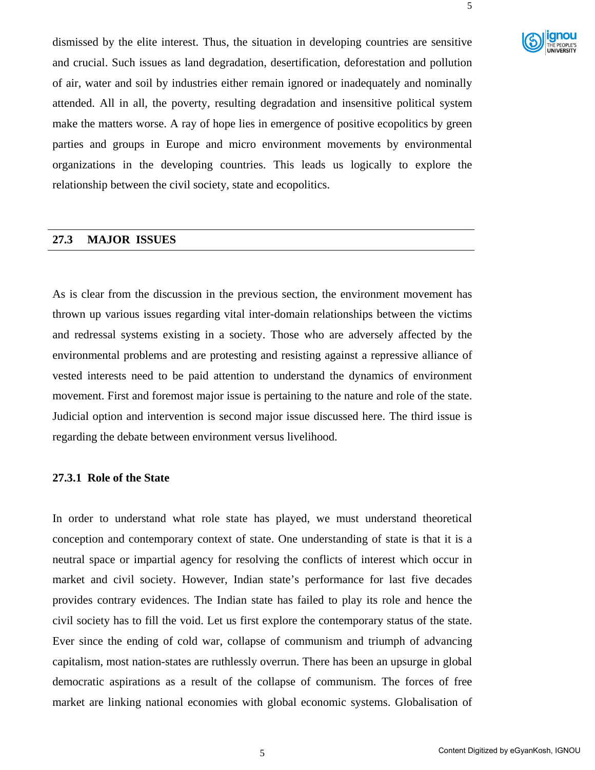

dismissed by the elite interest. Thus, the situation in developing countries are sensitive and crucial. Such issues as land degradation, desertification, deforestation and pollution of air, water and soil by industries either remain ignored or inadequately and nominally attended. All in all, the poverty, resulting degradation and insensitive political system make the matters worse. A ray of hope lies in emergence of positive ecopolitics by green parties and groups in Europe and micro environment movements by environmental organizations in the developing countries. This leads us logically to explore the relationship between the civil society, state and ecopolitics.

### **27.3 MAJOR ISSUES**

j

As is clear from the discussion in the previous section, the environment movement has thrown up various issues regarding vital inter-domain relationships between the victims and redressal systems existing in a society. Those who are adversely affected by the environmental problems and are protesting and resisting against a repressive alliance of vested interests need to be paid attention to understand the dynamics of environment movement. First and foremost major issue is pertaining to the nature and role of the state. Judicial option and intervention is second major issue discussed here. The third issue is regarding the debate between environment versus livelihood.

### **27.3.1 Role of the State**

In order to understand what role state has played, we must understand theoretical conception and contemporary context of state. One understanding of state is that it is a neutral space or impartial agency for resolving the conflicts of interest which occur in market and civil society. However, Indian state's performance for last five decades provides contrary evidences. The Indian state has failed to play its role and hence the civil society has to fill the void. Let us first explore the contemporary status of the state. Ever since the ending of cold war, collapse of communism and triumph of advancing capitalism, most nation-states are ruthlessly overrun. There has been an upsurge in global democratic aspirations as a result of the collapse of communism. The forces of free market are linking national economies with global economic systems. Globalisation of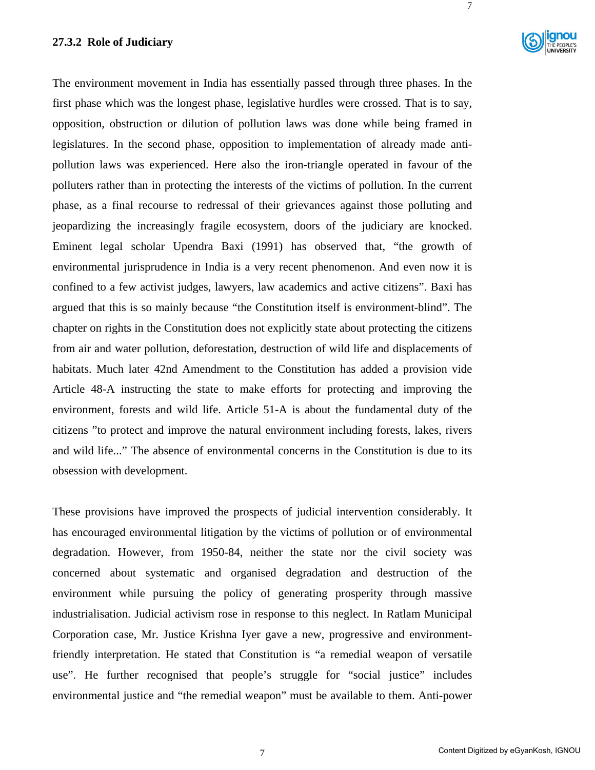### **27.3.2 Role of Judiciary**



7

The environment movement in India has essentially passed through three phases. In the first phase which was the longest phase, legislative hurdles were crossed. That is to say, opposition, obstruction or dilution of pollution laws was done while being framed in legislatures. In the second phase, opposition to implementation of already made antipollution laws was experienced. Here also the iron-triangle operated in favour of the polluters rather than in protecting the interests of the victims of pollution. In the current phase, as a final recourse to redressal of their grievances against those polluting and jeopardizing the increasingly fragile ecosystem, doors of the judiciary are knocked. Eminent legal scholar Upendra Baxi (1991) has observed that, "the growth of environmental jurisprudence in India is a very recent phenomenon. And even now it is confined to a few activist judges, lawyers, law academics and active citizens". Baxi has argued that this is so mainly because "the Constitution itself is environment-blind". The chapter on rights in the Constitution does not explicitly state about protecting the citizens from air and water pollution, deforestation, destruction of wild life and displacements of habitats. Much later 42nd Amendment to the Constitution has added a provision vide Article 48-A instructing the state to make efforts for protecting and improving the environment, forests and wild life. Article 51-A is about the fundamental duty of the citizens "to protect and improve the natural environment including forests, lakes, rivers and wild life..." The absence of environmental concerns in the Constitution is due to its obsession with development.

These provisions have improved the prospects of judicial intervention considerably. It has encouraged environmental litigation by the victims of pollution or of environmental degradation. However, from 1950-84, neither the state nor the civil society was concerned about systematic and organised degradation and destruction of the environment while pursuing the policy of generating prosperity through massive industrialisation. Judicial activism rose in response to this neglect. In Ratlam Municipal Corporation case, Mr. Justice Krishna Iyer gave a new, progressive and environmentfriendly interpretation. He stated that Constitution is "a remedial weapon of versatile use". He further recognised that people's struggle for "social justice" includes environmental justice and "the remedial weapon" must be available to them. Anti-power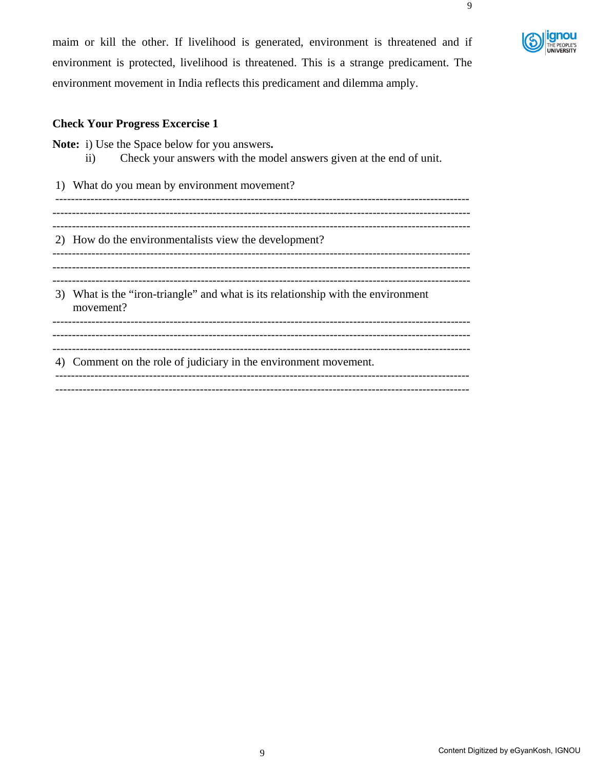maim or kill the other. If livelihood is generated, environment is threatened and if environment is protected, livelihood is threatened. This is a strange predicament. The environment movement in India reflects this predicament and dilemma amply.

# **Check Your Progress Excercise 1**

**Note:** i) Use the Space below for you answers**.** 

ii) Check your answers with the model answers given at the end of unit.

1) What do you mean by environment movement? ---------------------------------------------------------------------------------------------------------- ----------------------------------------------------------------------------------------------------------- ----------------------------------------------------------------------------------------------------------- 2) How do the environmentalists view the development? ----------------------------------------------------------------------------------------------------------- ----------------------------------------------------------------------------------------------------------- 3) What is the "iron-triangle" and what is its relationship with the environment movement? ----------------------------------------------------------------------------------------------------------- ----------------------------------------------------------------------------------------------------------- ----------------------------------------------------------------------------------------------------------- 4) Comment on the role of judiciary in the environment movement. ---------------------------------------------------------------------------------------------------------- ----------------------------------------------------------------------------------------------------------

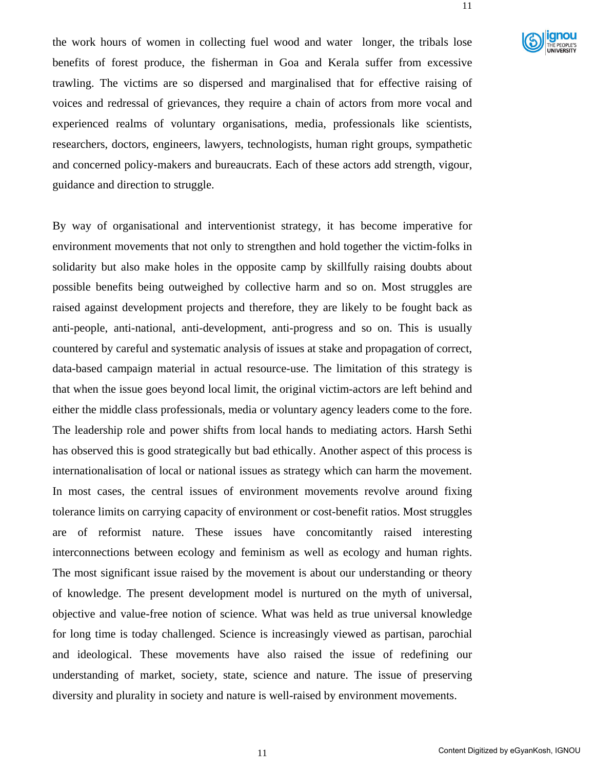

the work hours of women in collecting fuel wood and water longer, the tribals lose benefits of forest produce, the fisherman in Goa and Kerala suffer from excessive trawling. The victims are so dispersed and marginalised that for effective raising of voices and redressal of grievances, they require a chain of actors from more vocal and experienced realms of voluntary organisations, media, professionals like scientists, researchers, doctors, engineers, lawyers, technologists, human right groups, sympathetic and concerned policy-makers and bureaucrats. Each of these actors add strength, vigour, guidance and direction to struggle.

By way of organisational and interventionist strategy, it has become imperative for environment movements that not only to strengthen and hold together the victim-folks in solidarity but also make holes in the opposite camp by skillfully raising doubts about possible benefits being outweighed by collective harm and so on. Most struggles are raised against development projects and therefore, they are likely to be fought back as anti-people, anti-national, anti-development, anti-progress and so on. This is usually countered by careful and systematic analysis of issues at stake and propagation of correct, data-based campaign material in actual resource-use. The limitation of this strategy is that when the issue goes beyond local limit, the original victim-actors are left behind and either the middle class professionals, media or voluntary agency leaders come to the fore. The leadership role and power shifts from local hands to mediating actors. Harsh Sethi has observed this is good strategically but bad ethically. Another aspect of this process is internationalisation of local or national issues as strategy which can harm the movement. In most cases, the central issues of environment movements revolve around fixing tolerance limits on carrying capacity of environment or cost-benefit ratios. Most struggles are of reformist nature. These issues have concomitantly raised interesting interconnections between ecology and feminism as well as ecology and human rights. The most significant issue raised by the movement is about our understanding or theory of knowledge. The present development model is nurtured on the myth of universal, objective and value-free notion of science. What was held as true universal knowledge for long time is today challenged. Science is increasingly viewed as partisan, parochial and ideological. These movements have also raised the issue of redefining our understanding of market, society, state, science and nature. The issue of preserving diversity and plurality in society and nature is well-raised by environment movements.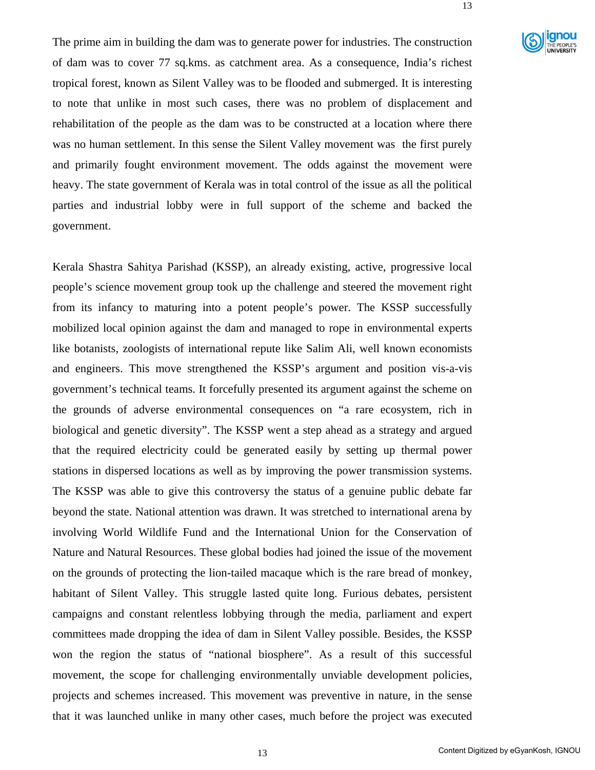

The prime aim in building the dam was to generate power for industries. The construction of dam was to cover 77 sq.kms. as catchment area. As a consequence, India's richest tropical forest, known as Silent Valley was to be flooded and submerged. It is interesting to note that unlike in most such cases, there was no problem of displacement and rehabilitation of the people as the dam was to be constructed at a location where there was no human settlement. In this sense the Silent Valley movement was the first purely and primarily fought environment movement. The odds against the movement were heavy. The state government of Kerala was in total control of the issue as all the political parties and industrial lobby were in full support of the scheme and backed the government.

Kerala Shastra Sahitya Parishad (KSSP), an already existing, active, progressive local people's science movement group took up the challenge and steered the movement right from its infancy to maturing into a potent people's power. The KSSP successfully mobilized local opinion against the dam and managed to rope in environmental experts like botanists, zoologists of international repute like Salim Ali, well known economists and engineers. This move strengthened the KSSP's argument and position vis-a-vis government's technical teams. It forcefully presented its argument against the scheme on the grounds of adverse environmental consequences on "a rare ecosystem, rich in biological and genetic diversity". The KSSP went a step ahead as a strategy and argued that the required electricity could be generated easily by setting up thermal power stations in dispersed locations as well as by improving the power transmission systems. The KSSP was able to give this controversy the status of a genuine public debate far beyond the state. National attention was drawn. It was stretched to international arena by involving World Wildlife Fund and the International Union for the Conservation of Nature and Natural Resources. These global bodies had joined the issue of the movement on the grounds of protecting the lion-tailed macaque which is the rare bread of monkey, habitant of Silent Valley. This struggle lasted quite long. Furious debates, persistent campaigns and constant relentless lobbying through the media, parliament and expert committees made dropping the idea of dam in Silent Valley possible. Besides, the KSSP won the region the status of "national biosphere". As a result of this successful movement, the scope for challenging environmentally unviable development policies, projects and schemes increased. This movement was preventive in nature, in the sense that it was launched unlike in many other cases, much before the project was executed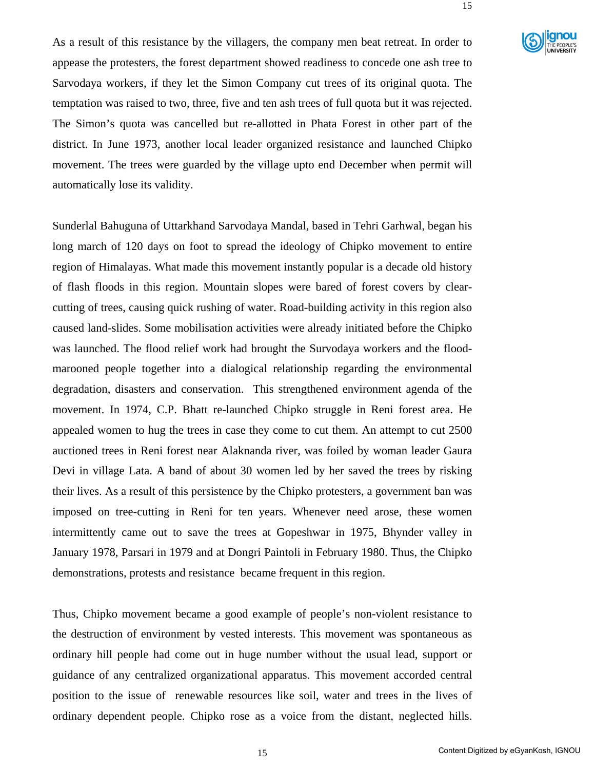

As a result of this resistance by the villagers, the company men beat retreat. In order to appease the protesters, the forest department showed readiness to concede one ash tree to Sarvodaya workers, if they let the Simon Company cut trees of its original quota. The temptation was raised to two, three, five and ten ash trees of full quota but it was rejected. The Simon's quota was cancelled but re-allotted in Phata Forest in other part of the district. In June 1973, another local leader organized resistance and launched Chipko movement. The trees were guarded by the village upto end December when permit will automatically lose its validity.

Sunderlal Bahuguna of Uttarkhand Sarvodaya Mandal, based in Tehri Garhwal, began his long march of 120 days on foot to spread the ideology of Chipko movement to entire region of Himalayas. What made this movement instantly popular is a decade old history of flash floods in this region. Mountain slopes were bared of forest covers by clearcutting of trees, causing quick rushing of water. Road-building activity in this region also caused land-slides. Some mobilisation activities were already initiated before the Chipko was launched. The flood relief work had brought the Survodaya workers and the floodmarooned people together into a dialogical relationship regarding the environmental degradation, disasters and conservation. This strengthened environment agenda of the movement. In 1974, C.P. Bhatt re-launched Chipko struggle in Reni forest area. He appealed women to hug the trees in case they come to cut them. An attempt to cut 2500 auctioned trees in Reni forest near Alaknanda river, was foiled by woman leader Gaura Devi in village Lata. A band of about 30 women led by her saved the trees by risking their lives. As a result of this persistence by the Chipko protesters, a government ban was imposed on tree-cutting in Reni for ten years. Whenever need arose, these women intermittently came out to save the trees at Gopeshwar in 1975, Bhynder valley in January 1978, Parsari in 1979 and at Dongri Paintoli in February 1980. Thus, the Chipko demonstrations, protests and resistance became frequent in this region.

Thus, Chipko movement became a good example of people's non-violent resistance to the destruction of environment by vested interests. This movement was spontaneous as ordinary hill people had come out in huge number without the usual lead, support or guidance of any centralized organizational apparatus. This movement accorded central position to the issue of renewable resources like soil, water and trees in the lives of ordinary dependent people. Chipko rose as a voice from the distant, neglected hills.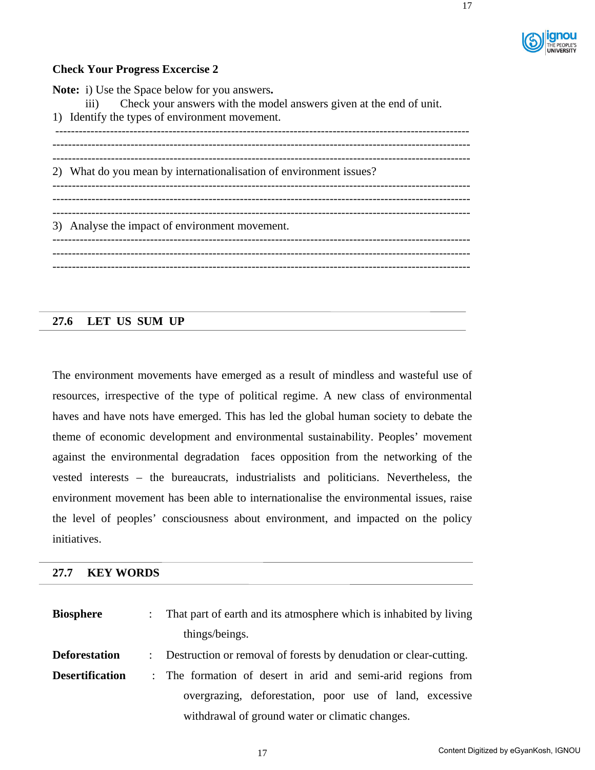

# **Check Your Progress Excercise 2**

**Note:** i) Use the Space below for you answers**.**  iii) Check your answers with the model answers given at the end of unit. 1) Identify the types of environment movement. ---------------------------------------------------------------------------------------------------------- ----------------------------------------------------------------------------------------------------------- ----------------------------------------------------------------------------------------------------------- 2) What do you mean by internationalisation of environment issues? ----------------------------------------------------------------------------------------------------------- ----------------------------------------------------------------------------------------------------------- 3) Analyse the impact of environment movement. ----------------------------------------------------------------------------------------------------------- ----------------------------------------------------------------------------------------------------------- -----------------------------------------------------------------------------------------------------------

# **27.6 LET US SUM UP**

 $\overline{a}$ 

The environment movements have emerged as a result of mindless and wasteful use of resources, irrespective of the type of political regime. A new class of environmental haves and have nots have emerged. This has led the global human society to debate the theme of economic development and environmental sustainability. Peoples' movement against the environmental degradation faces opposition from the networking of the vested interests – the bureaucrats, industrialists and politicians. Nevertheless, the environment movement has been able to internationalise the environmental issues, raise the level of peoples' consciousness about environment, and impacted on the policy initiatives.

#### **27.7 KEY WORDS**

| <b>Biosphere</b>       | : That part of earth and its atmosphere which is inhabited by living |
|------------------------|----------------------------------------------------------------------|
|                        | things/beings.                                                       |
| <b>Deforestation</b>   | : Destruction or removal of forests by denudation or clear-cutting.  |
| <b>Desertification</b> | : The formation of desert in arid and semi-arid regions from         |
|                        | overgrazing, deforestation, poor use of land, excessive              |
|                        | withdrawal of ground water or climatic changes.                      |